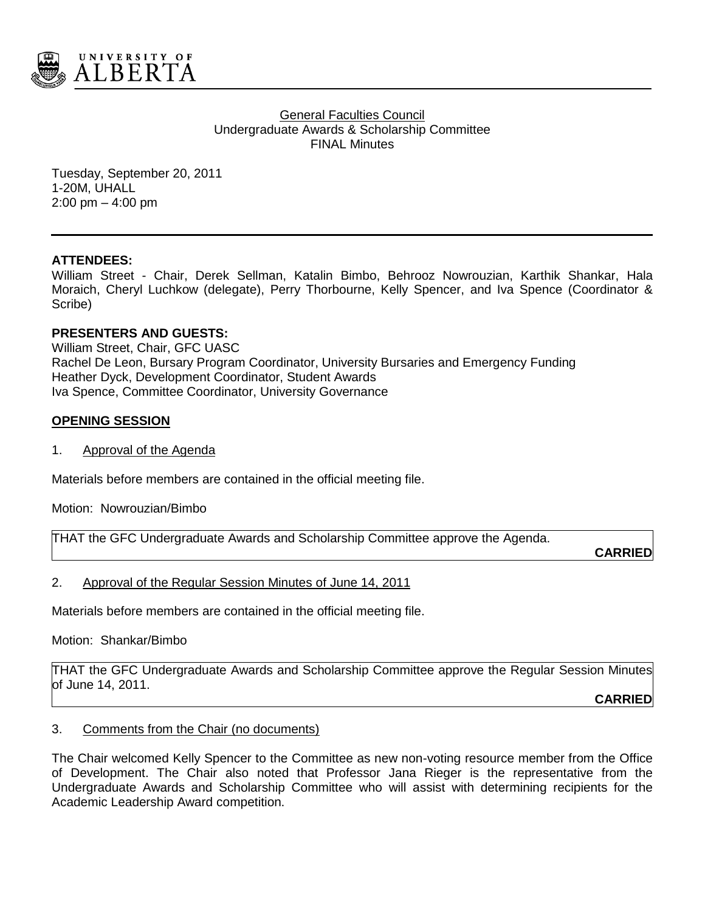

**General Faculties Council** Undergraduate Awards & Scholarship Committee FINAL Minutes

Tuesday, September 20, 2011 1-20M, UHALL 2:00 pm – 4:00 pm

### **ATTENDEES:**

William Street - Chair, Derek Sellman, Katalin Bimbo, Behrooz Nowrouzian, Karthik Shankar, Hala Moraich, Cheryl Luchkow (delegate), Perry Thorbourne, Kelly Spencer, and Iva Spence (Coordinator & Scribe)

### **PRESENTERS AND GUESTS:**

William Street, Chair, GFC UASC Rachel De Leon, Bursary Program Coordinator, University Bursaries and Emergency Funding Heather Dyck, Development Coordinator, Student Awards Iva Spence, Committee Coordinator, University Governance

### **OPENING SESSION**

1. Approval of the Agenda

Materials before members are contained in the official meeting file.

Motion: Nowrouzian/Bimbo

THAT the GFC Undergraduate Awards and Scholarship Committee approve the Agenda.

**CARRIED**

#### 2. Approval of the Regular Session Minutes of June 14, 2011

Materials before members are contained in the official meeting file.

Motion: Shankar/Bimbo

THAT the GFC Undergraduate Awards and Scholarship Committee approve the Regular Session Minutes of June 14, 2011.

**CARRIED**

#### 3. Comments from the Chair (no documents)

The Chair welcomed Kelly Spencer to the Committee as new non-voting resource member from the Office of Development. The Chair also noted that Professor Jana Rieger is the representative from the Undergraduate Awards and Scholarship Committee who will assist with determining recipients for the Academic Leadership Award competition.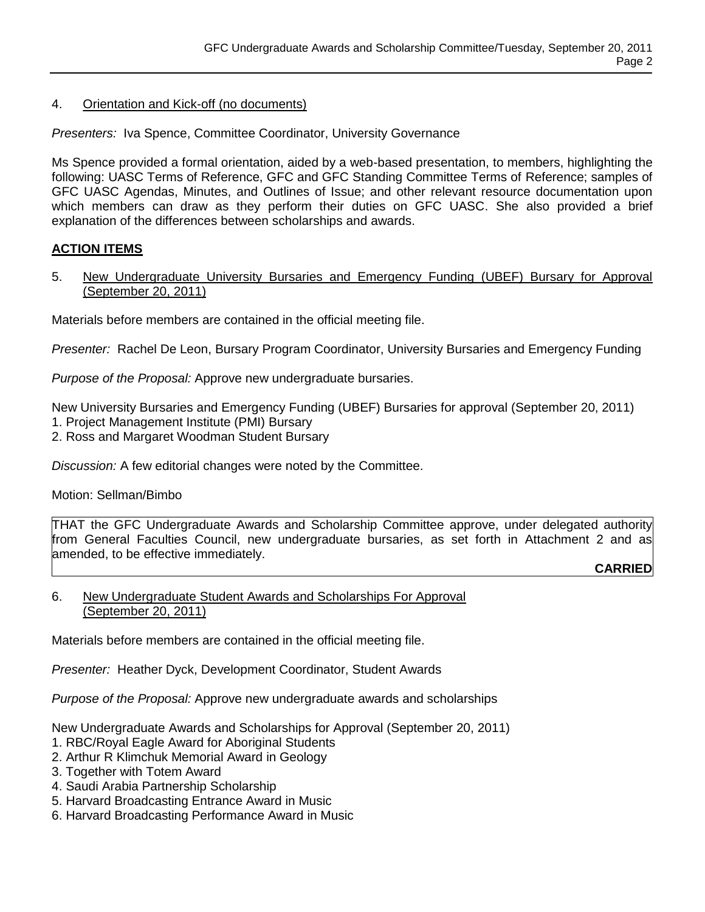# 4. Orientation and Kick-off (no documents)

*Presenters:* Iva Spence, Committee Coordinator, University Governance

Ms Spence provided a formal orientation, aided by a web-based presentation, to members, highlighting the following: UASC Terms of Reference, GFC and GFC Standing Committee Terms of Reference; samples of GFC UASC Agendas, Minutes, and Outlines of Issue; and other relevant resource documentation upon which members can draw as they perform their duties on GFC UASC. She also provided a brief explanation of the differences between scholarships and awards.

## **ACTION ITEMS**

5. New Undergraduate University Bursaries and Emergency Funding (UBEF) Bursary for Approval (September 20, 2011)

Materials before members are contained in the official meeting file.

*Presenter:* Rachel De Leon, Bursary Program Coordinator, University Bursaries and Emergency Funding

*Purpose of the Proposal:* Approve new undergraduate bursaries.

New University Bursaries and Emergency Funding (UBEF) Bursaries for approval (September 20, 2011)

- 1. Project Management Institute (PMI) Bursary
- 2. Ross and Margaret Woodman Student Bursary

*Discussion:* A few editorial changes were noted by the Committee.

## Motion: Sellman/Bimbo

THAT the GFC Undergraduate Awards and Scholarship Committee approve, under delegated authority from General Faculties Council, new undergraduate bursaries, as set forth in Attachment 2 and as amended, to be effective immediately.

**CARRIED**

### 6. New Undergraduate Student Awards and Scholarships For Approval (September 20, 2011)

Materials before members are contained in the official meeting file.

*Presenter:* Heather Dyck, Development Coordinator, Student Awards

*Purpose of the Proposal:* Approve new undergraduate awards and scholarships

New Undergraduate Awards and Scholarships for Approval (September 20, 2011)

- 1. RBC/Royal Eagle Award for Aboriginal Students
- 2. Arthur R Klimchuk Memorial Award in Geology
- 3. Together with Totem Award
- 4. Saudi Arabia Partnership Scholarship
- 5. Harvard Broadcasting Entrance Award in Music
- 6. Harvard Broadcasting Performance Award in Music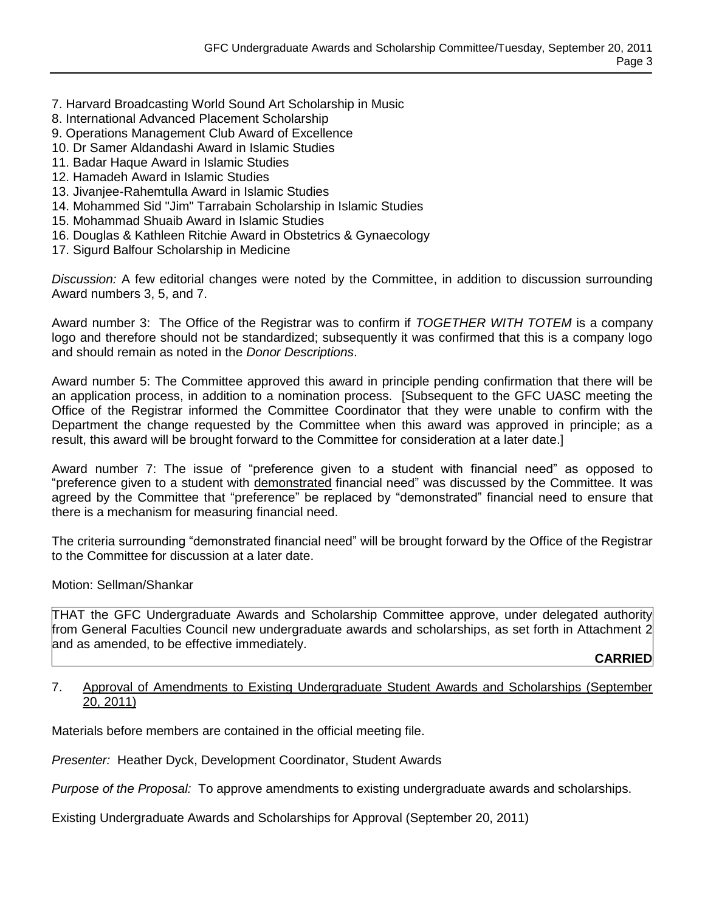- 7. Harvard Broadcasting World Sound Art Scholarship in Music
- 8. International Advanced Placement Scholarship
- 9. Operations Management Club Award of Excellence
- 10. Dr Samer Aldandashi Award in Islamic Studies
- 11. Badar Haque Award in Islamic Studies
- 12. Hamadeh Award in Islamic Studies
- 13. Jivanjee-Rahemtulla Award in Islamic Studies
- 14. Mohammed Sid "Jim" Tarrabain Scholarship in Islamic Studies
- 15. Mohammad Shuaib Award in Islamic Studies
- 16. Douglas & Kathleen Ritchie Award in Obstetrics & Gynaecology
- 17. Sigurd Balfour Scholarship in Medicine

*Discussion:* A few editorial changes were noted by the Committee, in addition to discussion surrounding Award numbers 3, 5, and 7.

Award number 3: The Office of the Registrar was to confirm if *TOGETHER WITH TOTEM* is a company logo and therefore should not be standardized; subsequently it was confirmed that this is a company logo and should remain as noted in the *Donor Descriptions*.

Award number 5: The Committee approved this award in principle pending confirmation that there will be an application process, in addition to a nomination process. [Subsequent to the GFC UASC meeting the Office of the Registrar informed the Committee Coordinator that they were unable to confirm with the Department the change requested by the Committee when this award was approved in principle; as a result, this award will be brought forward to the Committee for consideration at a later date.]

Award number 7: The issue of "preference given to a student with financial need" as opposed to "preference given to a student with demonstrated financial need" was discussed by the Committee. It was agreed by the Committee that "preference" be replaced by "demonstrated" financial need to ensure that there is a mechanism for measuring financial need.

The criteria surrounding "demonstrated financial need" will be brought forward by the Office of the Registrar to the Committee for discussion at a later date.

Motion: Sellman/Shankar

THAT the GFC Undergraduate Awards and Scholarship Committee approve, under delegated authority from General Faculties Council new undergraduate awards and scholarships, as set forth in Attachment 2 and as amended, to be effective immediately.

**CARRIED**

#### 7. Approval of Amendments to Existing Undergraduate Student Awards and Scholarships (September 20, 2011)

Materials before members are contained in the official meeting file.

*Presenter:* Heather Dyck, Development Coordinator, Student Awards

*Purpose of the Proposal:* To approve amendments to existing undergraduate awards and scholarships.

Existing Undergraduate Awards and Scholarships for Approval (September 20, 2011)